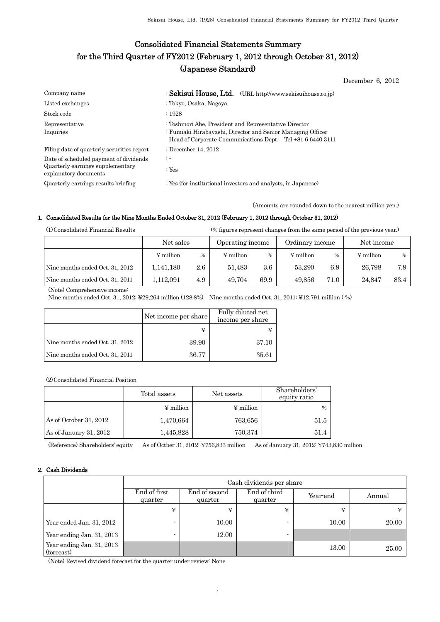# Consolidated Financial Statements Summary for the Third Quarter of FY2012 (February 1, 2012 through October 31, 2012) (Japanese Standard)

December 6, 2012

| Company name                                                                                        | : Sekisui House, Ltd. (URL http://www.sekisuihouse.co.jp)                                                                                                                           |
|-----------------------------------------------------------------------------------------------------|-------------------------------------------------------------------------------------------------------------------------------------------------------------------------------------|
| Listed exchanges                                                                                    | : Tokyo, Osaka, Nagoya                                                                                                                                                              |
| Stock code                                                                                          | $\therefore$ 1928                                                                                                                                                                   |
| Representative<br>Inquiries                                                                         | : Toshinori Abe, President and Representative Director<br>: Fumiaki Hirabayashi, Director and Senior Managing Officer<br>Head of Corporate Communications Dept. Tel +81 6 6440 3111 |
| Filing date of quarterly securities report                                                          | : December 14, $2012$                                                                                                                                                               |
| Date of scheduled payment of dividends<br>Quarterly earnings supplementary<br>explanatory documents | $\mathbb{R}^n$<br>: Yes                                                                                                                                                             |
| Quarterly earnings results briefing                                                                 | : Yes (for institutional investors and analysts, in Japanese)                                                                                                                       |

(Amounts are rounded down to the nearest million yen.)

## 1. Consolidated Results for the Nine Months Ended October 31, 2012 (February 1, 2012 through October 31, 2012)

(1)Consolidated Financial Results (% figures represent changes from the same period of the previous year.)

|                                 | Net sales      |         | Operating income |         | Ordinary income |      | Net income     |      |
|---------------------------------|----------------|---------|------------------|---------|-----------------|------|----------------|------|
|                                 | $\Psi$ million | $\%$    | $\Psi$ million   | $\%$    | $\Psi$ million  | $\%$ | $\Psi$ million | $\%$ |
| Nine months ended Oct. 31, 2012 | 1,141,180      | $2.6\,$ | 51.483           | $3.6\,$ | 53.290          | 6.9  | 26.798         | 7.9  |
| Nine months ended Oct. 31, 2011 | l.112.091      | 4.9     | 49.704           | 69.9    | 49.856          | 71.0 | 24.847         | 83.4 |

(Note) Comprehensive income:

Nine months ended Oct. 31, 2012: ¥29,264 million (128.8%) Nine months ended Oct. 31, 2011: ¥12,791 million (-%)

|                                 | Net income per share | Fully diluted net<br>income per share |  |
|---------------------------------|----------------------|---------------------------------------|--|
|                                 |                      |                                       |  |
| Nine months ended Oct. 31, 2012 | 39.90                | 37.10                                 |  |
| Nine months ended Oct. 31, 2011 | 36.77                | 35.61                                 |  |

(2)Consolidated Financial Position

|                        | Total assets          | Net assets | Shareholders'<br>equity ratio |
|------------------------|-----------------------|------------|-------------------------------|
|                        | $\frac{1}{2}$ million | ¥ million  | $\%$                          |
| As of October 31, 2012 | 1,470,664             | 763,656    | 51.5                          |
| As of January 31, 2012 | 1,445,828             | 750,374    | 51.4                          |

(Reference) Shareholders' equity As of Octber 31, 2012: ¥756,833 million As of January 31, 2012: ¥743,830 million

## 2. Cash Dividends

|                                         |                         | Cash dividends per share |                         |          |        |  |
|-----------------------------------------|-------------------------|--------------------------|-------------------------|----------|--------|--|
|                                         | End of first<br>quarter | End of second<br>quarter | End of third<br>quarter | Year-end | Annual |  |
|                                         | ¥                       | ¥                        | ¥                       | ¥        | ¥      |  |
| Year ended Jan. 31, 2012                |                         | 10.00                    |                         | 10.00    | 20.00  |  |
| Year ending Jan. 31, 2013               |                         | 12.00                    | $\blacksquare$          |          |        |  |
| Year ending Jan. 31, 2013<br>(forecast) |                         |                          |                         | 13.00    | 25.00  |  |

(Note) Revised dividend forecast for the quarter under review: None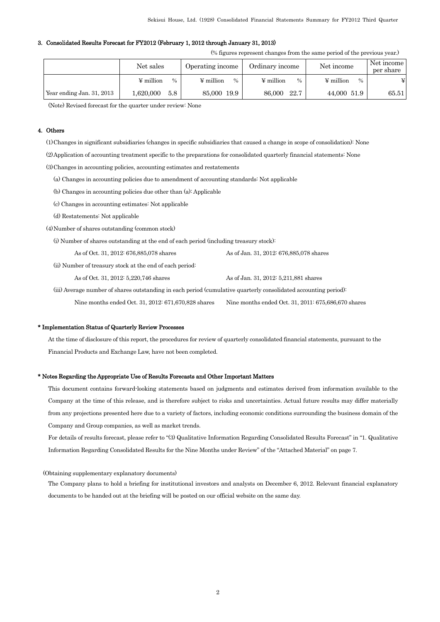### 3. Consolidated Results Forecast for FY2012 (February 1, 2012 through January 31, 2013)

(% figures represent changes from the same period of the previous year.)

|                           | Net sales                  | Operating income       | Ordinary income        | Net income             | Net income<br>per share |
|---------------------------|----------------------------|------------------------|------------------------|------------------------|-------------------------|
|                           | ¥ million<br>$\frac{0}{0}$ | $\Psi$ million<br>$\%$ | $\Psi$ million<br>$\%$ | $\Psi$ million<br>$\%$ | ¥                       |
| Year ending Jan. 31, 2013 | .620,000<br>5.8            | 85,000 19.9            | 22.7<br>86,000         | 44,000 51.9            | 65.51                   |

(Note) Revised forecast for the quarter under review: None

#### 4. Others

(1)Changes in significant subsidiaries (changes in specific subsidiaries that caused a change in scope of consolidation): None

(2)Application of accounting treatment specific to the preparations for consolidated quarterly financial statements: None

(3)Changes in accounting policies, accounting estimates and restatements

(a) Changes in accounting policies due to amendment of accounting standards: Not applicable

(b) Changes in accounting policies due other than (a): Applicable

(c) Changes in accounting estimates: Not applicable

- (d) Restatements: Not applicable
- (4)Number of shares outstanding (common stock)

(i) Number of shares outstanding at the end of each period (including treasury stock):

| As of Oct. 31, 2012: 676,885,078 shares | As of Jan. 31, 2012: 676,885,078 shares |
|-----------------------------------------|-----------------------------------------|
|-----------------------------------------|-----------------------------------------|

(ii) Number of treasury stock at the end of each period:

As of Oct. 31, 2012: 5,220,746 shares As of Jan. 31, 2012: 5,211,881 shares

(iii) Average number of shares outstanding in each period (cumulative quarterly consolidated accounting period):

Nine months ended Oct. 31, 2012: 671,670,828 shares Nine months ended Oct. 31, 2011: 675,686,670 shares

### \* Implementation Status of Quarterly Review Processes

At the time of disclosure of this report, the procedures for review of quarterly consolidated financial statements, pursuant to the Financial Products and Exchange Law, have not been completed.

#### \* Notes Regarding the Appropriate Use of Results Forecasts and Other Important Matters

This document contains forward-looking statements based on judgments and estimates derived from information available to the Company at the time of this release, and is therefore subject to risks and uncertainties. Actual future results may differ materially from any projections presented here due to a variety of factors, including economic conditions surrounding the business domain of the Company and Group companies, as well as market trends.

For details of results forecast, please refer to "(3) Qualitative Information Regarding Consolidated Results Forecast" in "1. Qualitative Information Regarding Consolidated Results for the Nine Months under Review" of the "Attached Material" on page 7.

## (Obtaining supplementary explanatory documents)

The Company plans to hold a briefing for institutional investors and analysts on December 6, 2012. Relevant financial explanatory documents to be handed out at the briefing will be posted on our official website on the same day.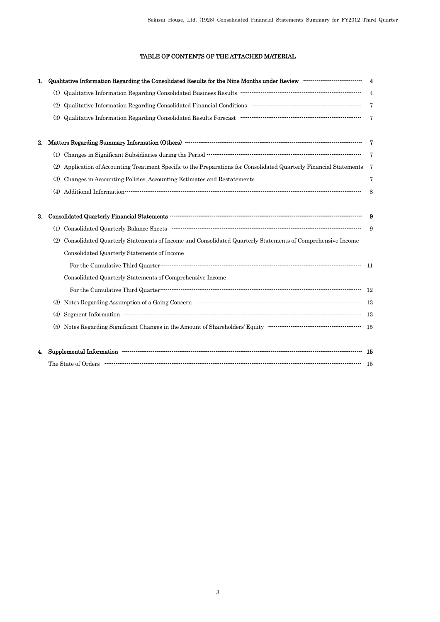# TABLE OF CONTENTS OF THE ATTACHED MATERIAL

| 1. | Qualitative Information Regarding the Consolidated Results for the Nine Months under Review ---------------------------------                                                                                                                                                                                                                                                                                                                                   | $\overline{\mathbf{4}}$ |
|----|-----------------------------------------------------------------------------------------------------------------------------------------------------------------------------------------------------------------------------------------------------------------------------------------------------------------------------------------------------------------------------------------------------------------------------------------------------------------|-------------------------|
|    |                                                                                                                                                                                                                                                                                                                                                                                                                                                                 | $\overline{4}$          |
|    | (2)                                                                                                                                                                                                                                                                                                                                                                                                                                                             | 7                       |
|    | (3)                                                                                                                                                                                                                                                                                                                                                                                                                                                             | $\overline{7}$          |
| 2. |                                                                                                                                                                                                                                                                                                                                                                                                                                                                 | - 7                     |
|    |                                                                                                                                                                                                                                                                                                                                                                                                                                                                 |                         |
|    | (2) Application of Accounting Treatment Specific to the Preparations for Consolidated Quarterly Financial Statements 7                                                                                                                                                                                                                                                                                                                                          |                         |
|    | $\label{prop:main} \textbf{Changes in}\textbf{Accounting} \textbf{Policies}, \textbf{Accounting} \textbf{Estimates and } \textbf{Restatement} \textbf{3} \textbf{3} \textbf{3} \textbf{3} \textbf{4} \textbf{5} \textbf{5} \textbf{6} \textbf{6} \textbf{7} \textbf{8} \textbf{9} \textbf{10} \textbf{10} \textbf{10} \textbf{10} \textbf{10} \textbf{10} \textbf{10} \textbf{10} \textbf{10} \textbf{10} \textbf{10} \textbf{10} \textbf{10} \textbf{1$<br>(3) | 7                       |
|    |                                                                                                                                                                                                                                                                                                                                                                                                                                                                 | 8                       |
| 3. |                                                                                                                                                                                                                                                                                                                                                                                                                                                                 | - 9                     |
|    |                                                                                                                                                                                                                                                                                                                                                                                                                                                                 | 9                       |
|    | Consolidated Quarterly Statements of Income and Consolidated Quarterly Statements of Comprehensive Income<br>(2)                                                                                                                                                                                                                                                                                                                                                |                         |
|    | Consolidated Quarterly Statements of Income                                                                                                                                                                                                                                                                                                                                                                                                                     |                         |
|    |                                                                                                                                                                                                                                                                                                                                                                                                                                                                 | $-11$                   |
|    | Consolidated Quarterly Statements of Comprehensive Income                                                                                                                                                                                                                                                                                                                                                                                                       |                         |
|    |                                                                                                                                                                                                                                                                                                                                                                                                                                                                 |                         |
|    |                                                                                                                                                                                                                                                                                                                                                                                                                                                                 |                         |
|    | (4)                                                                                                                                                                                                                                                                                                                                                                                                                                                             |                         |
|    |                                                                                                                                                                                                                                                                                                                                                                                                                                                                 |                         |
| 4. |                                                                                                                                                                                                                                                                                                                                                                                                                                                                 |                         |
|    |                                                                                                                                                                                                                                                                                                                                                                                                                                                                 |                         |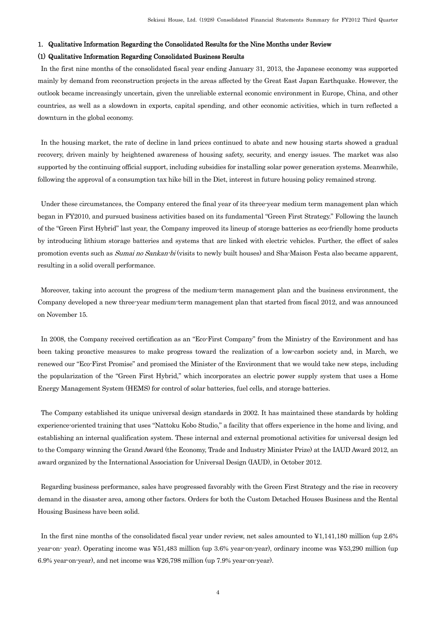#### 1. Qualitative Information Regarding the Consolidated Results for the Nine Months under Review

## (1) Qualitative Information Regarding Consolidated Business Results

In the first nine months of the consolidated fiscal year ending January 31, 2013, the Japanese economy was supported mainly by demand from reconstruction projects in the areas affected by the Great East Japan Earthquake. However, the outlook became increasingly uncertain, given the unreliable external economic environment in Europe, China, and other countries, as well as a slowdown in exports, capital spending, and other economic activities, which in turn reflected a downturn in the global economy.

In the housing market, the rate of decline in land prices continued to abate and new housing starts showed a gradual recovery, driven mainly by heightened awareness of housing safety, security, and energy issues. The market was also supported by the continuing official support, including subsidies for installing solar power generation systems. Meanwhile, following the approval of a consumption tax hike bill in the Diet, interest in future housing policy remained strong.

Under these circumstances, the Company entered the final year of its three-year medium term management plan which began in FY2010, and pursued business activities based on its fundamental "Green First Strategy." Following the launch of the "Green First Hybrid" last year, the Company improved its lineup of storage batteries as eco-friendly home products by introducing lithium storage batteries and systems that are linked with electric vehicles. Further, the effect of sales promotion events such as *Sumai no Sankan-bi* (visits to newly built houses) and Sha-Maison Festa also became apparent, resulting in a solid overall performance.

Moreover, taking into account the progress of the medium-term management plan and the business environment, the Company developed a new three-year medium-term management plan that started from fiscal 2012, and was announced on November 15.

In 2008, the Company received certification as an "Eco-First Company" from the Ministry of the Environment and has been taking proactive measures to make progress toward the realization of a low-carbon society and, in March, we renewed our "Eco-First Promise" and promised the Minister of the Environment that we would take new steps, including the popularization of the "Green First Hybrid," which incorporates an electric power supply system that uses a Home Energy Management System (HEMS) for control of solar batteries, fuel cells, and storage batteries.

The Company established its unique universal design standards in 2002. It has maintained these standards by holding experience-oriented training that uses "Nattoku Kobo Studio," a facility that offers experience in the home and living, and establishing an internal qualification system. These internal and external promotional activities for universal design led to the Company winning the Grand Award (the Economy, Trade and Industry Minister Prize) at the IAUD Award 2012, an award organized by the International Association for Universal Design (IAUD), in October 2012.

Regarding business performance, sales have progressed favorably with the Green First Strategy and the rise in recovery demand in the disaster area, among other factors. Orders for both the Custom Detached Houses Business and the Rental Housing Business have been solid.

In the first nine months of the consolidated fiscal year under review, net sales amounted to ¥1,141,180 million (up 2.6% year-on- year). Operating income was ¥51,483 million (up 3.6% year-on-year), ordinary income was ¥53,290 million (up 6.9% year-on-year), and net income was ¥26,798 million (up 7.9% year-on-year).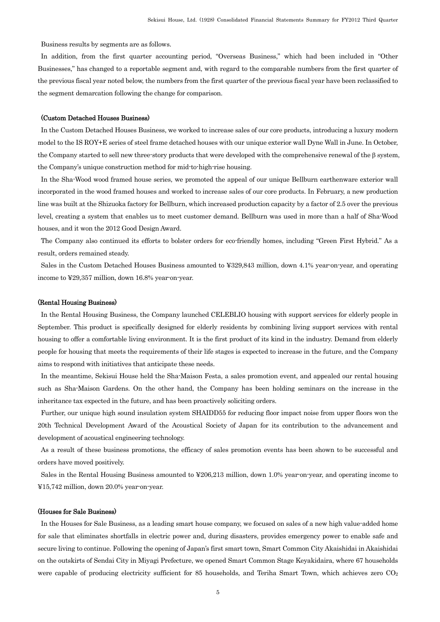Business results by segments are as follows.

In addition, from the first quarter accounting period, "Overseas Business," which had been included in "Other Businesses," has changed to a reportable segment and, with regard to the comparable numbers from the first quarter of the previous fiscal year noted below, the numbers from the first quarter of the previous fiscal year have been reclassified to the segment demarcation following the change for comparison.

## (Custom Detached Houses Business)

In the Custom Detached Houses Business, we worked to increase sales of our core products, introducing a luxury modern model to the IS ROY+E series of steel frame detached houses with our unique exterior wall Dyne Wall in June. In October, the Company started to sell new three-story products that were developed with the comprehensive renewal of the β system, the Company's unique construction method for mid-to-high-rise housing.

In the Sha-Wood wood framed house series, we promoted the appeal of our unique Bellburn earthenware exterior wall incorporated in the wood framed houses and worked to increase sales of our core products. In February, a new production line was built at the Shizuoka factory for Bellburn, which increased production capacity by a factor of 2.5 over the previous level, creating a system that enables us to meet customer demand. Bellburn was used in more than a half of Sha-Wood houses, and it won the 2012 Good Design Award.

The Company also continued its efforts to bolster orders for eco-friendly homes, including "Green First Hybrid." As a result, orders remained steady.

Sales in the Custom Detached Houses Business amounted to ¥329,843 million, down 4.1% year-on-year, and operating income to ¥29,357 million, down 16.8% year-on-year.

## (Rental Housing Business)

In the Rental Housing Business, the Company launched CELEBLIO housing with support services for elderly people in September. This product is specifically designed for elderly residents by combining living support services with rental housing to offer a comfortable living environment. It is the first product of its kind in the industry. Demand from elderly people for housing that meets the requirements of their life stages is expected to increase in the future, and the Company aims to respond with initiatives that anticipate these needs.

In the meantime, Sekisui House held the Sha-Maison Festa, a sales promotion event, and appealed our rental housing such as Sha-Maison Gardens. On the other hand, the Company has been holding seminars on the increase in the inheritance tax expected in the future, and has been proactively soliciting orders.

Further, our unique high sound insulation system SHAIDD55 for reducing floor impact noise from upper floors won the 20th Technical Development Award of the Acoustical Society of Japan for its contribution to the advancement and development of acoustical engineering technology.

As a result of these business promotions, the efficacy of sales promotion events has been shown to be successful and orders have moved positively.

Sales in the Rental Housing Business amounted to ¥206,213 million, down 1.0% year-on-year, and operating income to ¥15,742 million, down 20.0% year-on-year.

## (Houses for Sale Business)

In the Houses for Sale Business, as a leading smart house company, we focused on sales of a new high value-added home for sale that eliminates shortfalls in electric power and, during disasters, provides emergency power to enable safe and secure living to continue. Following the opening of Japan's first smart town, Smart Common City Akaishidai in Akaishidai on the outskirts of Sendai City in Miyagi Prefecture, we opened Smart Common Stage Keyakidaira, where 67 households were capable of producing electricity sufficient for 85 households, and Teriha Smart Town, which achieves zero  $CO<sub>2</sub>$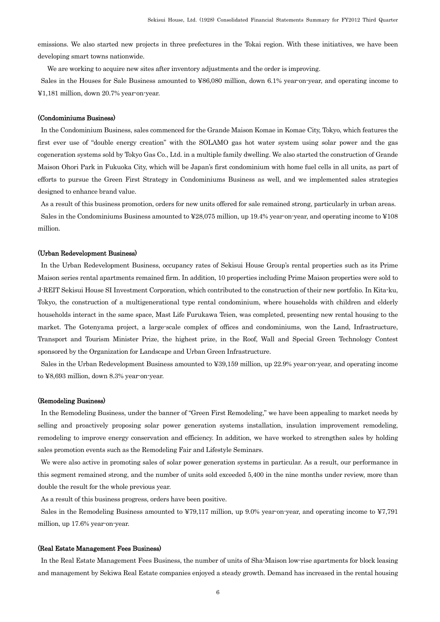emissions. We also started new projects in three prefectures in the Tokai region. With these initiatives, we have been developing smart towns nationwide.

We are working to acquire new sites after inventory adjustments and the order is improving.

Sales in the Houses for Sale Business amounted to ¥86,080 million, down 6.1% year-on-year, and operating income to ¥1,181 million, down 20.7% year-on-year.

## (Condominiums Business)

In the Condominium Business, sales commenced for the Grande Maison Komae in Komae City, Tokyo, which features the first ever use of "double energy creation" with the SOLAMO gas hot water system using solar power and the gas cogeneration systems sold by Tokyo Gas Co., Ltd. in a multiple family dwelling. We also started the construction of Grande Maison Ohori Park in Fukuoka City, which will be Japan's first condominium with home fuel cells in all units, as part of efforts to pursue the Green First Strategy in Condominiums Business as well, and we implemented sales strategies designed to enhance brand value.

As a result of this business promotion, orders for new units offered for sale remained strong, particularly in urban areas. Sales in the Condominiums Business amounted to ¥28,075 million, up 19.4% year-on-year, and operating income to ¥108

million.

#### (Urban Redevelopment Business)

In the Urban Redevelopment Business, occupancy rates of Sekisui House Group's rental properties such as its Prime Maison series rental apartments remained firm. In addition, 10 properties including Prime Maison properties were sold to J-REIT Sekisui House SI Investment Corporation, which contributed to the construction of their new portfolio. In Kita-ku, Tokyo, the construction of a multigenerational type rental condominium, where households with children and elderly households interact in the same space, Mast Life Furukawa Teien, was completed, presenting new rental housing to the market. The Gotenyama project, a large-scale complex of offices and condominiums, won the Land, Infrastructure, Transport and Tourism Minister Prize, the highest prize, in the Roof, Wall and Special Green Technology Contest sponsored by the Organization for Landscape and Urban Green Infrastructure.

Sales in the Urban Redevelopment Business amounted to ¥39,159 million, up 22.9% year-on-year, and operating income to ¥8,693 million, down 8.3% year-on-year.

## (Remodeling Business)

In the Remodeling Business, under the banner of "Green First Remodeling," we have been appealing to market needs by selling and proactively proposing solar power generation systems installation, insulation improvement remodeling, remodeling to improve energy conservation and efficiency. In addition, we have worked to strengthen sales by holding sales promotion events such as the Remodeling Fair and Lifestyle Seminars.

We were also active in promoting sales of solar power generation systems in particular. As a result, our performance in this segment remained strong, and the number of units sold exceeded 5,400 in the nine months under review, more than double the result for the whole previous year.

As a result of this business progress, orders have been positive.

Sales in the Remodeling Business amounted to ¥79,117 million, up 9.0% year-on-year, and operating income to ¥7,791 million, up 17.6% year-on-year.

#### (Real Estate Management Fees Business)

In the Real Estate Management Fees Business, the number of units of Sha-Maison low-rise apartments for block leasing and management by Sekiwa Real Estate companies enjoyed a steady growth. Demand has increased in the rental housing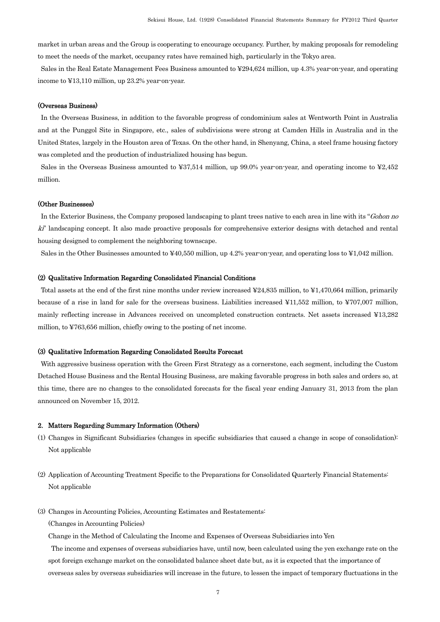market in urban areas and the Group is cooperating to encourage occupancy. Further, by making proposals for remodeling to meet the needs of the market, occupancy rates have remained high, particularly in the Tokyo area.

Sales in the Real Estate Management Fees Business amounted to ¥294,624 million, up 4.3% year-on-year, and operating income to ¥13,110 million, up 23.2% year-on-year.

### (Overseas Business)

In the Overseas Business, in addition to the favorable progress of condominium sales at Wentworth Point in Australia and at the Punggol Site in Singapore, etc., sales of subdivisions were strong at Camden Hills in Australia and in the United States, largely in the Houston area of Texas. On the other hand, in Shenyang, China, a steel frame housing factory was completed and the production of industrialized housing has begun.

Sales in the Overseas Business amounted to ¥37,514 million, up 99.0% year-on-year, and operating income to ¥2,452 million.

#### (Other Businesses)

In the Exterior Business, the Company proposed landscaping to plant trees native to each area in line with its "Gohon no ki" landscaping concept. It also made proactive proposals for comprehensive exterior designs with detached and rental housing designed to complement the neighboring townscape.

Sales in the Other Businesses amounted to ¥40,550 million, up 4.2% year-on-year, and operating loss to ¥1,042 million.

## (2) Qualitative Information Regarding Consolidated Financial Conditions

Total assets at the end of the first nine months under review increased ¥24,835 million, to ¥1,470,664 million, primarily because of a rise in land for sale for the overseas business. Liabilities increased ¥11,552 million, to ¥707,007 million, mainly reflecting increase in Advances received on uncompleted construction contracts. Net assets increased ¥13,282 million, to ¥763,656 million, chiefly owing to the posting of net income.

## (3) Qualitative Information Regarding Consolidated Results Forecast

With aggressive business operation with the Green First Strategy as a cornerstone, each segment, including the Custom Detached House Business and the Rental Housing Business, are making favorable progress in both sales and orders so, at this time, there are no changes to the consolidated forecasts for the fiscal year ending January 31, 2013 from the plan announced on November 15, 2012.

## 2. Matters Regarding Summary Information (Others)

- (1) Changes in Significant Subsidiaries (changes in specific subsidiaries that caused a change in scope of consolidation): Not applicable
- (2) Application of Accounting Treatment Specific to the Preparations for Consolidated Quarterly Financial Statements: Not applicable
- (3) Changes in Accounting Policies, Accounting Estimates and Restatements: (Changes in Accounting Policies)

Change in the Method of Calculating the Income and Expenses of Overseas Subsidiaries into Yen

The income and expenses of overseas subsidiaries have, until now, been calculated using the yen exchange rate on the spot foreign exchange market on the consolidated balance sheet date but, as it is expected that the importance of overseas sales by overseas subsidiaries will increase in the future, to lessen the impact of temporary fluctuations in the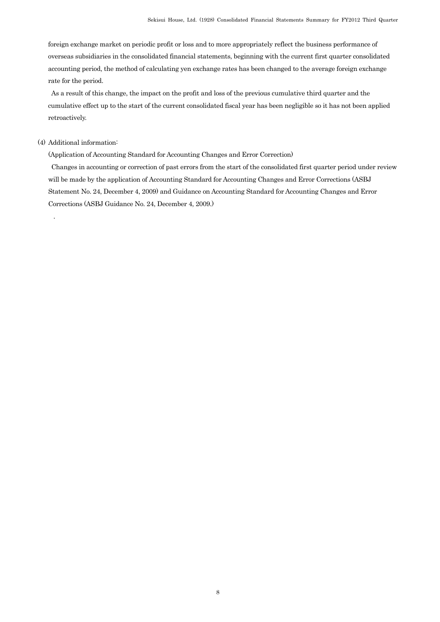foreign exchange market on periodic profit or loss and to more appropriately reflect the business performance of overseas subsidiaries in the consolidated financial statements, beginning with the current first quarter consolidated accounting period, the method of calculating yen exchange rates has been changed to the average foreign exchange rate for the period.

As a result of this change, the impact on the profit and loss of the previous cumulative third quarter and the cumulative effect up to the start of the current consolidated fiscal year has been negligible so it has not been applied retroactively.

## (4) Additional information:

.

(Application of Accounting Standard for Accounting Changes and Error Correction)

Changes in accounting or correction of past errors from the start of the consolidated first quarter period under review will be made by the application of Accounting Standard for Accounting Changes and Error Corrections (ASBJ Statement No. 24, December 4, 2009) and Guidance on Accounting Standard for Accounting Changes and Error Corrections (ASBJ Guidance No. 24, December 4, 2009.)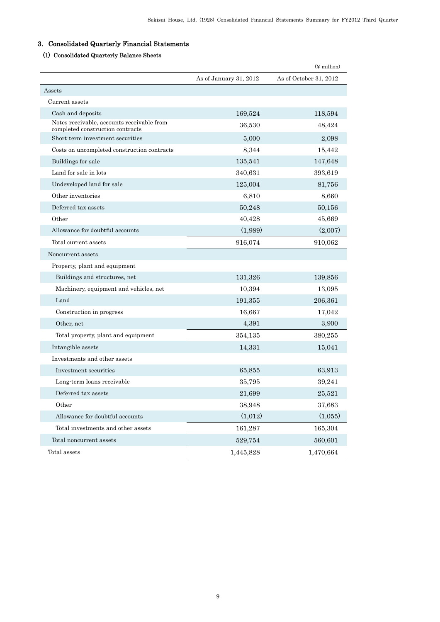# 3. Consolidated Quarterly Financial Statements

# (1) Consolidated Quarterly Balance Sheets

|                                                                                |                        | $(\frac{1}{2}$ million) |
|--------------------------------------------------------------------------------|------------------------|-------------------------|
|                                                                                | As of January 31, 2012 | As of October 31, 2012  |
| Assets                                                                         |                        |                         |
| Current assets                                                                 |                        |                         |
| Cash and deposits                                                              | 169,524                | 118,594                 |
| Notes receivable, accounts receivable from<br>completed construction contracts | 36,530                 | 48,424                  |
| Short-term investment securities                                               | 5,000                  | 2,098                   |
| Costs on uncompleted construction contracts                                    | 8,344                  | 15,442                  |
| Buildings for sale                                                             | 135,541                | 147,648                 |
| Land for sale in lots                                                          | 340,631                | 393,619                 |
| Undeveloped land for sale                                                      | 125,004                | 81,756                  |
| Other inventories                                                              | 6,810                  | 8,660                   |
| Deferred tax assets                                                            | 50,248                 | 50,156                  |
| Other                                                                          | 40,428                 | 45,669                  |
| Allowance for doubtful accounts                                                | (1,989)                | (2,007)                 |
| Total current assets                                                           | 916,074                | 910,062                 |
| Noncurrent assets                                                              |                        |                         |
| Property, plant and equipment                                                  |                        |                         |
| Buildings and structures, net                                                  | 131,326                | 139,856                 |
| Machinery, equipment and vehicles, net                                         | 10,394                 | 13,095                  |
| Land                                                                           | 191,355                | 206,361                 |
| Construction in progress                                                       | 16,667                 | 17,042                  |
| Other, net                                                                     | 4,391                  | 3,900                   |
| Total property, plant and equipment                                            | 354,135                | 380,255                 |
| Intangible assets                                                              | 14,331                 | 15,041                  |
| Investments and other assets                                                   |                        |                         |
| Investment securities                                                          | 65,855                 | 63,913                  |
| Long term loans receivable                                                     | 35,795                 | 39,241                  |
| Deferred tax assets                                                            | 21,699                 | 25,521                  |
| Other                                                                          | 38,948                 | 37,683                  |
| Allowance for doubtful accounts                                                | (1,012)                | (1,055)                 |
| Total investments and other assets                                             | 161,287                | 165,304                 |
| Total noncurrent assets                                                        | 529,754                | 560,601                 |
| Total assets                                                                   | 1,445,828              | 1,470,664               |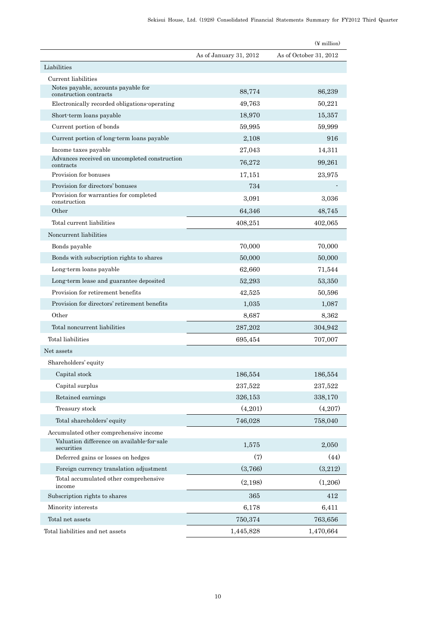|                                                               |                        | $(\frac{y}{x})$ million |
|---------------------------------------------------------------|------------------------|-------------------------|
|                                                               | As of January 31, 2012 | As of October 31, 2012  |
| Liabilities                                                   |                        |                         |
| Current liabilities                                           |                        |                         |
| Notes payable, accounts payable for<br>construction contracts | 88,774                 | 86,239                  |
| Electronically recorded obligations operating                 | 49,763                 | 50,221                  |
| Short-term loans payable                                      | 18,970                 | 15,357                  |
| Current portion of bonds                                      | 59,995                 | 59,999                  |
| Current portion of long-term loans payable                    | 2,108                  | 916                     |
| Income taxes payable                                          | 27,043                 | 14,311                  |
| Advances received on uncompleted construction<br>contracts    | 76,272                 | 99,261                  |
| Provision for bonuses                                         | 17,151                 | 23,975                  |
| Provision for directors' bonuses                              | 734                    |                         |
| Provision for warranties for completed<br>construction        | 3,091                  | 3.036                   |
| Other                                                         | 64,346                 | 48,745                  |
| Total current liabilities                                     | 408,251                | 402,065                 |
| Noncurrent liabilities                                        |                        |                         |
| Bonds payable                                                 | 70,000                 | 70,000                  |
| Bonds with subscription rights to shares                      | 50,000                 | 50,000                  |
| Long-term loans payable                                       | 62,660                 | 71,544                  |
| Long-term lease and guarantee deposited                       | 52,293                 | 53,350                  |
| Provision for retirement benefits                             | 42,525                 | 50,596                  |
| Provision for directors' retirement benefits                  | 1,035                  | 1,087                   |
| Other                                                         | 8,687                  | 8,362                   |
| Total noncurrent liabilities                                  | 287,202                | 304,942                 |
| Total liabilities                                             | 695,454                | 707,007                 |
| Net assets                                                    |                        |                         |
| Shareholders' equity                                          |                        |                         |
| Capital stock                                                 | 186,554                | 186,554                 |
| Capital surplus                                               | 237,522                | 237,522                 |
| Retained earnings                                             | 326,153                | 338,170                 |
| Treasury stock                                                | (4,201)                | (4,207)                 |
| Total shareholders' equity                                    | 746,028                | 758,040                 |
| Accumulated other comprehensive income                        |                        |                         |
| Valuation difference on available-for-sale<br>securities      | 1,575                  | 2,050                   |
| Deferred gains or losses on hedges                            | (7)                    | (44)                    |
| Foreign currency translation adjustment                       | (3,766)                | (3,212)                 |
| Total accumulated other comprehensive<br>income               | (2,198)                | (1,206)                 |
| Subscription rights to shares                                 | 365                    | 412                     |
| Minority interests                                            | 6,178                  | 6,411                   |
| Total net assets                                              | 750,374                | 763,656                 |
| Total liabilities and net assets                              | 1,445,828              | 1,470,664               |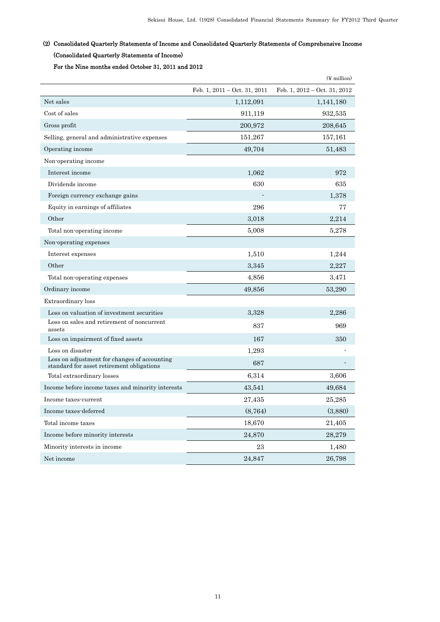# (2) Consolidated Quarterly Statements of Income and Consolidated Quarterly Statements of Comprehensive Income (Consolidated Quarterly Statements of Income)

For the Nine months ended October 31, 2011 and 2012

|                                                                                           |                                | $(\frac{y}{x})$ million        |
|-------------------------------------------------------------------------------------------|--------------------------------|--------------------------------|
|                                                                                           | Feb. 1, $2011 - Oct. 31, 2011$ | Feb. 1, $2012 - Oct. 31, 2012$ |
| Net sales                                                                                 | 1,112,091                      | 1,141,180                      |
| Cost of sales                                                                             | 911,119                        | 932,535                        |
| Gross profit                                                                              | 200,972                        | 208,645                        |
| Selling, general and administrative expenses                                              | 151,267                        | 157,161                        |
| Operating income                                                                          | 49,704                         | 51,483                         |
| Non-operating income                                                                      |                                |                                |
| Interest income                                                                           | 1,062                          | 972                            |
| Dividends income                                                                          | 630                            | 635                            |
| Foreign currency exchange gains                                                           |                                | 1,378                          |
| Equity in earnings of affiliates                                                          | 296                            | 77                             |
| Other                                                                                     | 3,018                          | 2,214                          |
| Total non-operating income                                                                | 5,008                          | 5,278                          |
| Non-operating expenses                                                                    |                                |                                |
| Interest expenses                                                                         | 1,510                          | 1,244                          |
| Other                                                                                     | 3,345                          | 2,227                          |
| Total non-operating expenses                                                              | 4,856                          | 3,471                          |
| Ordinary income                                                                           | 49,856                         | 53,290                         |
| Extraordinary loss                                                                        |                                |                                |
| Loss on valuation of investment securities                                                | 3,328                          | 2,286                          |
| Loss on sales and retirement of noncurrent<br>assets                                      | 837                            | 969                            |
| Loss on impairment of fixed assets                                                        | 167                            | 350                            |
| Loss on disaster                                                                          | 1,293                          |                                |
| Loss on adjustment for changes of accounting<br>standard for asset retirement obligations | 687                            |                                |
| Total extraordinary losses                                                                | 6,314                          | 3,606                          |
| Income before income taxes and minority interests                                         | 43,541                         | 49,684                         |
| Income taxes-current                                                                      | 27,435                         | 25,285                         |
| Income taxes-deferred                                                                     | (8, 764)                       | (3,880)                        |
| Total income taxes                                                                        | 18,670                         | 21,405                         |
| Income before minority interests                                                          | 24,870                         | 28,279                         |
| Minority interests in income                                                              | 23                             | 1,480                          |
| Net income                                                                                | 24,847                         | 26,798                         |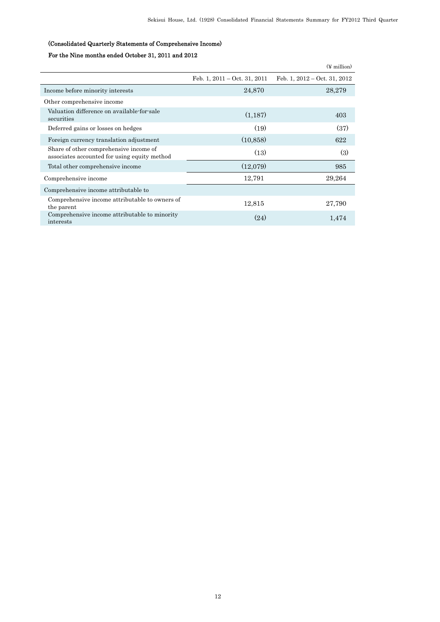# (Consolidated Quarterly Statements of Comprehensive Income)

# For the Nine months ended October 31, 2011 and 2012

|                                                                                        |                                        | $(\frac{1}{2}$ million         |
|----------------------------------------------------------------------------------------|----------------------------------------|--------------------------------|
|                                                                                        | Feb. 1, $2011 - \text{Oct. } 31, 2011$ | Feb. 1, $2012 - Oct. 31, 2012$ |
| Income before minority interests                                                       | 24,870                                 | 28,279                         |
| Other comprehensive income                                                             |                                        |                                |
| Valuation difference on available-for-sale<br>securities                               | (1,187)                                | 403                            |
| Deferred gains or losses on hedges                                                     | (19)                                   | (37)                           |
| Foreign currency translation adjustment                                                | (10, 858)                              | 622                            |
| Share of other comprehensive income of<br>associates accounted for using equity method | (13)                                   | (3)                            |
| Total other comprehensive income                                                       | (12,079)                               | 985                            |
| Comprehensive income                                                                   | 12,791                                 | 29,264                         |
| Comprehensive income attributable to                                                   |                                        |                                |
| Comprehensive income attributable to owners of<br>the parent                           | 12,815                                 | 27,790                         |
| Comprehensive income attributable to minority<br>interests                             | (24)                                   | 1.474                          |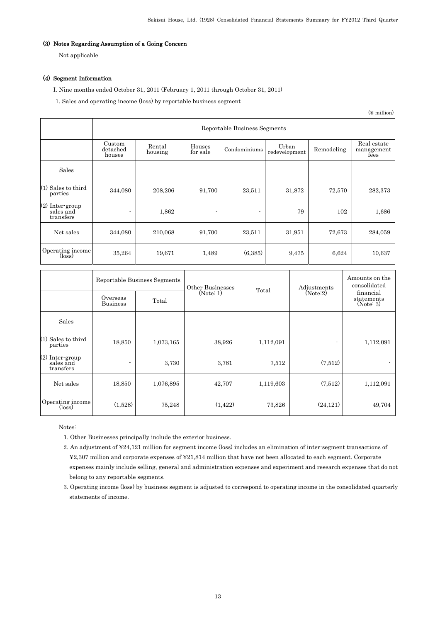## (3) Notes Regarding Assumption of a Going Concern

Not applicable

## (4) Segment Information

I. Nine months ended October 31, 2011 (February 1, 2011 through October 31, 2011)

1. Sales and operating income (loss) by reportable business segment

|                                                | Reportable Business Segments |                   |                    |              |                        |            |                                   |  |  |
|------------------------------------------------|------------------------------|-------------------|--------------------|--------------|------------------------|------------|-----------------------------------|--|--|
|                                                | Custom<br>detached<br>houses | Rental<br>housing | Houses<br>for sale | Condominiums | Urban<br>redevelopment | Remodeling | Real estate<br>management<br>fees |  |  |
| Sales                                          |                              |                   |                    |              |                        |            |                                   |  |  |
| (1) Sales to third<br>parties                  | 344,080                      | 208,206           | 91,700             | 23,511       | 31,872                 | 72,570     | 282,373                           |  |  |
| $(2)$ Inter-group<br>sales and<br>transfers    |                              | 1,862             |                    |              | 79                     | 102        | 1,686                             |  |  |
| Net sales                                      | 344,080                      | 210,068           | 91,700             | 23,511       | 31,951                 | 72,673     | 284,059                           |  |  |
| Operating income<br>$(\overline{\text{loss}})$ | 35,264                       | 19,671            | 1,489              | (6.385)      | 9,475                  | 6,624      | 10,637                            |  |  |

(¥ million)

|                                                | Overseas<br><b>Business</b> | Reportable Business Segments<br>Total | Other Businesses<br>(Note: 1) | Total     | Adjustments<br>(Note:2)  | Amounts on the<br>consolidated<br>financial<br>statements<br>(Note: 3) |
|------------------------------------------------|-----------------------------|---------------------------------------|-------------------------------|-----------|--------------------------|------------------------------------------------------------------------|
| Sales                                          |                             |                                       |                               |           |                          |                                                                        |
| $(1)$ Sales to third<br>parties                | 18,850                      | 1,073,165                             | 38,926                        | 1,112,091 | $\overline{\phantom{0}}$ | 1,112,091                                                              |
| (2) Inter-group<br>sales and<br>transfers      | $\overline{\phantom{0}}$    | 3,730                                 | 3,781                         | 7,512     | (7.512)                  |                                                                        |
| Net sales                                      | 18,850                      | 1,076,895                             | 42,707                        | 1,119,603 | (7.512)                  | 1,112,091                                                              |
| Operating income<br>$(\overline{\text{loss}})$ | (1,528)                     | 75,248                                | (1, 422)                      | 73,826    | (24, 121)                | 49,704                                                                 |

Notes:

- 1. Other Businesses principally include the exterior business.
- 2. An adjustment of ¥24,121 million for segment income (loss) includes an elimination of inter-segment transactions of ¥2,307 million and corporate expenses of ¥21,814 million that have not been allocated to each segment. Corporate expenses mainly include selling, general and administration expenses and experiment and research expenses that do not belong to any reportable segments.
- 3. Operating income (loss) by business segment is adjusted to correspond to operating income in the consolidated quarterly statements of income.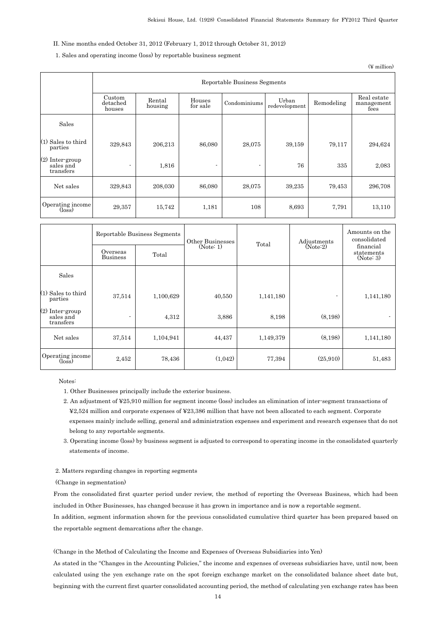## II. Nine months ended October 31, 2012 (February 1, 2012 through October 31, 2012)

## 1. Sales and operating income (loss) by reportable business segment

(¥ million)

|                                                | Reportable Business Segments |                   |                    |              |                        |            |                                   |  |
|------------------------------------------------|------------------------------|-------------------|--------------------|--------------|------------------------|------------|-----------------------------------|--|
|                                                | Custom<br>detached<br>houses | Rental<br>housing | Houses<br>for sale | Condominiums | Urban<br>redevelopment | Remodeling | Real estate<br>management<br>fees |  |
| Sales                                          |                              |                   |                    |              |                        |            |                                   |  |
| $(1)$ Sales to third<br>parties                | 329,843                      | 206,213           | 86,080             | 28,075       | 39,159                 | 79,117     | 294,624                           |  |
| (2) Inter-group<br>sales and<br>transfers      |                              | 1,816             |                    | ٠            | 76                     | 335        | 2,083                             |  |
| Net sales                                      | 329,843                      | 208,030           | 86,080             | 28,075       | 39,235                 | 79,453     | 296,708                           |  |
| Operating income<br>$(\overline{\text{loss}})$ | 29,357                       | 15,742            | 1,181              | 108          | 8,693                  | 7,791      | 13,110                            |  |

|                                             | Overseas<br><b>Business</b> | Reportable Business Segments<br>Total | Other Businesses<br>(Note: 1) | Total     | Adjustments<br>(Note:2) | Amounts on the<br>consolidated<br>financial<br>statements<br>(Note: 3) |
|---------------------------------------------|-----------------------------|---------------------------------------|-------------------------------|-----------|-------------------------|------------------------------------------------------------------------|
| Sales                                       |                             |                                       |                               |           |                         |                                                                        |
| $(1)$ Sales to third<br>parties             | 37,514                      | 1,100,629                             | 40,550                        | 1,141,180 | ٠                       | 1,141,180                                                              |
| $(2)$ Inter-group<br>sales and<br>transfers | ٠                           | 4,312                                 | 3,886                         | 8,198     | (8,198)                 | $\sim$                                                                 |
| Net sales                                   | 37,514                      | 1,104,941                             | 44,437                        | 1,149,379 | (8,198)                 | 1,141,180                                                              |
| Operating income<br>$(\text{loss})$         | 2,452                       | 78,436                                | (1,042)                       | 77,394    | (25,910)                | 51,483                                                                 |

Notes:

1. Other Businesses principally include the exterior business.

- 2. An adjustment of ¥25,910 million for segment income (loss) includes an elimination of inter-segment transactions of ¥2,524 million and corporate expenses of ¥23,386 million that have not been allocated to each segment. Corporate expenses mainly include selling, general and administration expenses and experiment and research expenses that do not belong to any reportable segments.
- 3. Operating income (loss) by business segment is adjusted to correspond to operating income in the consolidated quarterly statements of income.

### 2. Matters regarding changes in reporting segments

(Change in segmentation)

From the consolidated first quarter period under review, the method of reporting the Overseas Business, which had been included in Other Businesses, has changed because it has grown in importance and is now a reportable segment.

In addition, segment information shown for the previous consolidated cumulative third quarter has been prepared based on the reportable segment demarcations after the change.

(Change in the Method of Calculating the Income and Expenses of Overseas Subsidiaries into Yen)

As stated in the "Changes in the Accounting Policies," the income and expenses of overseas subsidiaries have, until now, been calculated using the yen exchange rate on the spot foreign exchange market on the consolidated balance sheet date but, beginning with the current first quarter consolidated accounting period, the method of calculating yen exchange rates has been